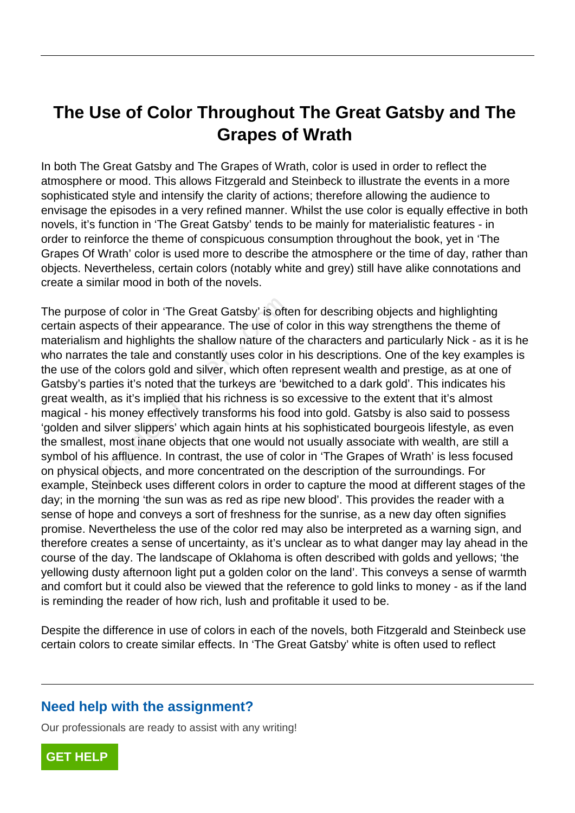## **The Use of Color Throughout The Great Gatsby and The Grapes of Wrath**

In both The Great Gatsby and The Grapes of Wrath, color is used in order to reflect the atmosphere or mood. This allows Fitzgerald and Steinbeck to illustrate the events in a more sophisticated style and intensify the clarity of actions; therefore allowing the audience to envisage the episodes in a very refined manner. Whilst the use color is equally effective in both novels, it's function in 'The Great Gatsby' tends to be mainly for materialistic features - in order to reinforce the theme of conspicuous consumption throughout the book, yet in 'The Grapes Of Wrath' color is used more to describe the atmosphere or the time of day, rather than objects. Nevertheless, certain colors (notably white and grey) still have alike connotations and create a similar mood in both of the novels.

The purpose of color in 'The Great Gatsby' is often for describing objects and highlighting certain aspects of their appearance. The use of color in this way strengthens the theme of materialism and highlights the shallow nature of the characters and particularly Nick - as it is he who narrates the tale and constantly uses color in his descriptions. One of the key examples is the use of the colors gold and silver, which often represent wealth and prestige, as at one of Gatsby's parties it's noted that the turkeys are 'bewitched to a dark gold'. This indicates his great wealth, as it's implied that his richness is so excessive to the extent that it's almost magical - his money effectively transforms his food into gold. Gatsby is also said to possess 'golden and silver slippers' which again hints at his sophisticated bourgeois lifestyle, as even the smallest, most inane objects that one would not usually associate with wealth, are still a symbol of his affluence. In contrast, the use of color in 'The Grapes of Wrath' is less focused on physical objects, and more concentrated on the description of the surroundings. For example, Steinbeck uses different colors in order to capture the mood at different stages of the day; in the morning 'the sun was as red as ripe new blood'. This provides the reader with a sense of hope and conveys a sort of freshness for the sunrise, as a new day often signifies promise. Nevertheless the use of the color red may also be interpreted as a warning sign, and therefore creates a sense of uncertainty, as it's unclear as to what danger may lay ahead in the course of the day. The landscape of Oklahoma is often described with golds and yellows; 'the yellowing dusty afternoon light put a golden color on the land'. This conveys a sense of warmth and comfort but it could also be viewed that the reference to gold links to money - as if the land is reminding the reader of how rich, lush and profitable it used to be. se of color in 'The Great Gatsby' is oftencents of their appearance. The use of com and highlights the shallow nature of these the tale and constantly uses color in the colors gold and silver, which often arties it's noted

Despite the difference in use of colors in each of the novels, both Fitzgerald and Steinbeck use certain colors to create similar effects. In 'The Great Gatsby' white is often used to reflect

## **Need help with the assignment?**

Our professionals are ready to assist with any writing!